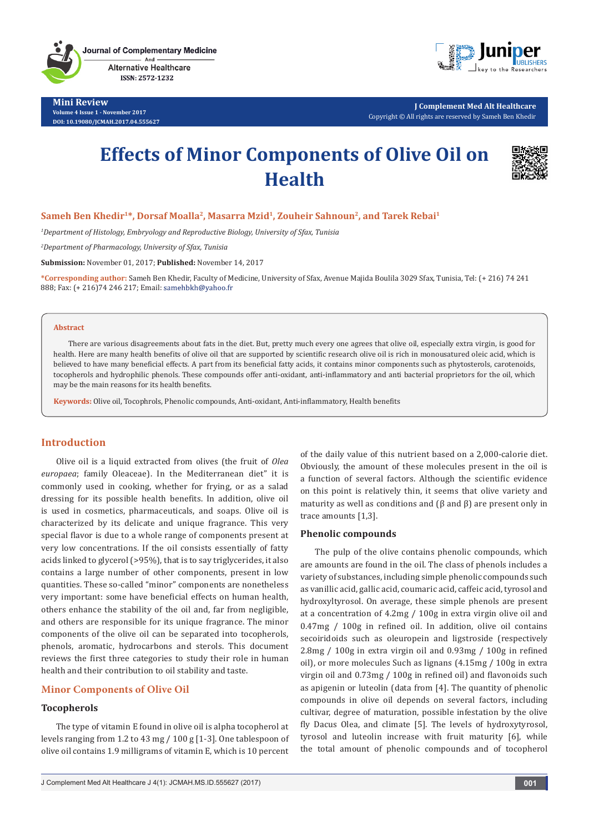**Journal of Complementary Medicine** And **Alternative Healthcare** 

ISSN: 2572-1232

**Mini Review Volume 4 Issue 1 - November 2017 DOI: [10.19080/JCMAH.2017.04.555627](http://dx.doi.org/10.19080/JCMAH.2017.04.555627)**



**J Complement Med Alt Healthcare** Copyright © All rights are reserved by Sameh Ben Khedir

# **Effects of Minor Components of Olive Oil on Health**



# Sameh Ben Khedir<sup>1\*</sup>, Dorsaf Moalla<sup>2</sup>, Masarra Mzid<sup>1</sup>, Zouheir Sahnoun<sup>2</sup>, and Tarek Rebai<sup>1</sup>

*1 Department of Histology, Embryology and Reproductive Biology, University of Sfax, Tunisia*

*2 Department of Pharmacology, University of Sfax, Tunisia*

**Submission:** November 01, 2017; **Published:** November 14, 2017

**\*Corresponding author:** Sameh Ben Khedir, Faculty of Medicine, University of Sfax, Avenue Majida Boulila 3029 Sfax, Tunisia, Tel: (+ 216) 74 241 888; Fax: (+ 216)74 246 217; Email:

#### **Abstract**

There are various disagreements about fats in the diet. But, pretty much every one agrees that olive oil, especially extra virgin, is good for health. Here are many health benefits of olive oil that are supported by scientific research olive oil is rich in monousatured oleic acid, which is believed to have many beneficial effects. A part from its beneficial fatty acids, it contains minor components such as phytosterols, carotenoids, tocopherols and hydrophilic phenols. These compounds offer anti-oxidant, anti-inflammatory and anti bacterial proprietors for the oil, which may be the main reasons for its health benefits.

**Keywords:** Olive oil, Tocophrols, Phenolic compounds, Anti-oxidant, Anti-inflammatory, Health benefits

# **Introduction**

Olive oil is a liquid extracted from olives (the fruit of *Olea europaea*; family Oleaceae). In the Mediterranean diet" it is commonly used in cooking, whether for frying, or as a salad dressing for its possible health benefits. In addition, olive oil is used in cosmetics, pharmaceuticals, and soaps. Olive oil is characterized by its delicate and unique fragrance. This very special flavor is due to a whole range of components present at very low concentrations. If the oil consists essentially of fatty acids linked to glycerol (>95%), that is to say triglycerides, it also contains a large number of other components, present in low quantities. These so-called "minor" components are nonetheless very important: some have beneficial effects on human health, others enhance the stability of the oil and, far from negligible, and others are responsible for its unique fragrance. The minor components of the olive oil can be separated into tocopherols, phenols, aromatic, hydrocarbons and sterols. This document reviews the first three categories to study their role in human health and their contribution to oil stability and taste.

# **Minor Components of Olive Oil**

# **Tocopherols**

The type of vitamin E found in olive oil is alpha tocopherol at levels ranging from 1.2 to 43 mg / 100 g [1-3]. One tablespoon of olive oil contains 1.9 milligrams of vitamin E, which is 10 percent of the daily value of this nutrient based on a 2,000-calorie diet. Obviously, the amount of these molecules present in the oil is a function of several factors. Although the scientific evidence on this point is relatively thin, it seems that olive variety and maturity as well as conditions and  $(\beta$  and  $\beta)$  are present only in trace amounts [1,3].

#### **Phenolic compounds**

The pulp of the olive contains phenolic compounds, which are amounts are found in the oil. The class of phenols includes a variety of substances, including simple phenolic compounds such as vanillic acid, gallic acid, coumaric acid, caffeic acid, tyrosol and hydroxyltyrosol. On average, these simple phenols are present at a concentration of 4.2mg / 100g in extra virgin olive oil and 0.47mg / 100g in refined oil. In addition, olive oil contains secoiridoids such as oleuropein and ligstroside (respectively 2.8mg / 100g in extra virgin oil and 0.93mg / 100g in refined oil), or more molecules Such as lignans (4.15mg / 100g in extra virgin oil and 0.73mg / 100g in refined oil) and flavonoids such as apigenin or luteolin (data from [4]. The quantity of phenolic compounds in olive oil depends on several factors, including cultivar, degree of maturation, possible infestation by the olive fly Dacus Olea, and climate [5]. The levels of hydroxytyrosol, tyrosol and luteolin increase with fruit maturity [6], while the total amount of phenolic compounds and of tocopherol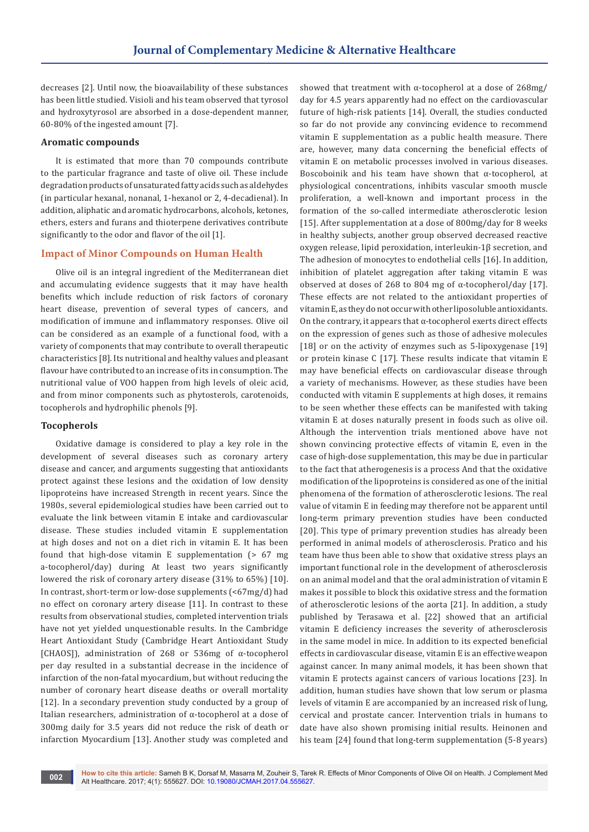decreases [2]. Until now, the bioavailability of these substances has been little studied. Visioli and his team observed that tyrosol and hydroxytyrosol are absorbed in a dose-dependent manner, 60-80% of the ingested amount [7].

## **Aromatic compounds**

It is estimated that more than 70 compounds contribute to the particular fragrance and taste of olive oil. These include degradation products of unsaturated fatty acids such as aldehydes (in particular hexanal, nonanal, 1-hexanol or 2, 4-decadienal). In addition, aliphatic and aromatic hydrocarbons, alcohols, ketones, ethers, esters and furans and thioterpene derivatives contribute significantly to the odor and flavor of the oil [1].

## **Impact of Minor Compounds on Human Health**

Olive oil is an integral ingredient of the Mediterranean diet and accumulating evidence suggests that it may have health benefits which include reduction of risk factors of coronary heart disease, prevention of several types of cancers, and modification of immune and inflammatory responses. Olive oil can be considered as an example of a functional food, with a variety of components that may contribute to overall therapeutic characteristics [8]. Its nutritional and healthy values and pleasant flavour have contributed to an increase of its in consumption. The nutritional value of VOO happen from high levels of oleic acid, and from minor components such as phytosterols, carotenoids, tocopherols and hydrophilic phenols [9].

#### **Tocopherols**

Oxidative damage is considered to play a key role in the development of several diseases such as coronary artery disease and cancer, and arguments suggesting that antioxidants protect against these lesions and the oxidation of low density lipoproteins have increased Strength in recent years. Since the 1980s, several epidemiological studies have been carried out to evaluate the link between vitamin E intake and cardiovascular disease. These studies included vitamin E supplementation at high doses and not on a diet rich in vitamin E. It has been found that high-dose vitamin E supplementation (> 67 mg a-tocopherol/day) during At least two years significantly lowered the risk of coronary artery disease (31% to 65%) [10]. In contrast, short-term or low-dose supplements (<67mg/d) had no effect on coronary artery disease [11]. In contrast to these results from observational studies, completed intervention trials have not yet yielded unquestionable results. In the Cambridge Heart Antioxidant Study (Cambridge Heart Antioxidant Study [CHAOS]), administration of 268 or 536mg of α-tocopherol per day resulted in a substantial decrease in the incidence of infarction of the non-fatal myocardium, but without reducing the number of coronary heart disease deaths or overall mortality [12]. In a secondary prevention study conducted by a group of Italian researchers, administration of α-tocopherol at a dose of 300mg daily for 3.5 years did not reduce the risk of death or infarction Myocardium [13]. Another study was completed and

showed that treatment with α-tocopherol at a dose of 268mg/ day for 4.5 years apparently had no effect on the cardiovascular future of high-risk patients [14]. Overall, the studies conducted so far do not provide any convincing evidence to recommend vitamin E supplementation as a public health measure. There are, however, many data concerning the beneficial effects of vitamin E on metabolic processes involved in various diseases. Boscoboinik and his team have shown that α-tocopherol, at physiological concentrations, inhibits vascular smooth muscle proliferation, a well-known and important process in the formation of the so-called intermediate atherosclerotic lesion [15]. After supplementation at a dose of 800mg/day for 8 weeks in healthy subjects, another group observed decreased reactive oxygen release, lipid peroxidation, interleukin-1β secretion, and The adhesion of monocytes to endothelial cells [16]. In addition, inhibition of platelet aggregation after taking vitamin E was observed at doses of 268 to 804 mg of  $\alpha$ -tocopherol/day [17]. These effects are not related to the antioxidant properties of vitamin E, as they do not occur with other liposoluble antioxidants. On the contrary, it appears that  $\alpha$ -tocopherol exerts direct effects on the expression of genes such as those of adhesive molecules [18] or on the activity of enzymes such as 5-lipoxygenase [19] or protein kinase C [17]. These results indicate that vitamin E may have beneficial effects on cardiovascular disease through a variety of mechanisms. However, as these studies have been conducted with vitamin E supplements at high doses, it remains to be seen whether these effects can be manifested with taking vitamin E at doses naturally present in foods such as olive oil. Although the intervention trials mentioned above have not shown convincing protective effects of vitamin E, even in the case of high-dose supplementation, this may be due in particular to the fact that atherogenesis is a process And that the oxidative modification of the lipoproteins is considered as one of the initial phenomena of the formation of atherosclerotic lesions. The real value of vitamin E in feeding may therefore not be apparent until long-term primary prevention studies have been conducted [20]. This type of primary prevention studies has already been performed in animal models of atherosclerosis. Pratico and his team have thus been able to show that oxidative stress plays an important functional role in the development of atherosclerosis on an animal model and that the oral administration of vitamin E makes it possible to block this oxidative stress and the formation of atherosclerotic lesions of the aorta [21]. In addition, a study published by Terasawa et al. [22] showed that an artificial vitamin E deficiency increases the severity of atherosclerosis in the same model in mice. In addition to its expected beneficial effects in cardiovascular disease, vitamin E is an effective weapon against cancer. In many animal models, it has been shown that vitamin E protects against cancers of various locations [23]. In addition, human studies have shown that low serum or plasma levels of vitamin E are accompanied by an increased risk of lung, cervical and prostate cancer. Intervention trials in humans to date have also shown promising initial results. Heinonen and his team [24] found that long-term supplementation (5-8 years)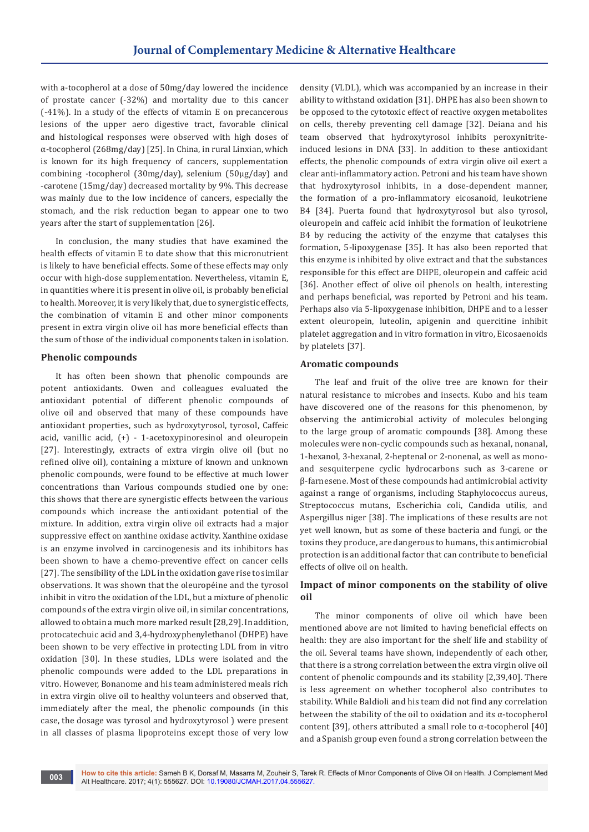with a-tocopherol at a dose of 50mg/day lowered the incidence of prostate cancer (-32%) and mortality due to this cancer (-41%). In a study of the effects of vitamin E on precancerous lesions of the upper aero digestive tract, favorable clinical and histological responses were observed with high doses of α-tocopherol (268mg/day) [25]. In China, in rural Linxian, which is known for its high frequency of cancers, supplementation combining -tocopherol (30mg/day), selenium (50μg/day) and -carotene (15mg/day) decreased mortality by 9%. This decrease was mainly due to the low incidence of cancers, especially the stomach, and the risk reduction began to appear one to two years after the start of supplementation [26].

In conclusion, the many studies that have examined the health effects of vitamin E to date show that this micronutrient is likely to have beneficial effects. Some of these effects may only occur with high-dose supplementation. Nevertheless, vitamin E, in quantities where it is present in olive oil, is probably beneficial to health. Moreover, it is very likely that, due to synergistic effects, the combination of vitamin E and other minor components present in extra virgin olive oil has more beneficial effects than the sum of those of the individual components taken in isolation.

#### **Phenolic compounds**

It has often been shown that phenolic compounds are potent antioxidants. Owen and colleagues evaluated the antioxidant potential of different phenolic compounds of olive oil and observed that many of these compounds have antioxidant properties, such as hydroxytyrosol, tyrosol, Caffeic acid, vanillic acid, (+) - 1-acetoxypinoresinol and oleuropein [27]. Interestingly, extracts of extra virgin olive oil (but no refined olive oil), containing a mixture of known and unknown phenolic compounds, were found to be effective at much lower concentrations than Various compounds studied one by one: this shows that there are synergistic effects between the various compounds which increase the antioxidant potential of the mixture. In addition, extra virgin olive oil extracts had a major suppressive effect on xanthine oxidase activity. Xanthine oxidase is an enzyme involved in carcinogenesis and its inhibitors has been shown to have a chemo-preventive effect on cancer cells [27]. The sensibility of the LDL in the oxidation gave rise to similar observations. It was shown that the oleuropéine and the tyrosol inhibit in vitro the oxidation of the LDL, but a mixture of phenolic compounds of the extra virgin olive oil, in similar concentrations, allowed to obtain a much more marked result [28,29]. In addition, protocatechuic acid and 3,4-hydroxyphenylethanol (DHPE) have been shown to be very effective in protecting LDL from in vitro oxidation [30]. In these studies, LDLs were isolated and the phenolic compounds were added to the LDL preparations in vitro. However, Bonanome and his team administered meals rich in extra virgin olive oil to healthy volunteers and observed that, immediately after the meal, the phenolic compounds (in this case, the dosage was tyrosol and hydroxytyrosol ) were present in all classes of plasma lipoproteins except those of very low

density (VLDL), which was accompanied by an increase in their ability to withstand oxidation [31]. DHPE has also been shown to be opposed to the cytotoxic effect of reactive oxygen metabolites on cells, thereby preventing cell damage [32]. Deiana and his team observed that hydroxytyrosol inhibits peroxynitriteinduced lesions in DNA [33]. In addition to these antioxidant effects, the phenolic compounds of extra virgin olive oil exert a clear anti-inflammatory action. Petroni and his team have shown that hydroxytyrosol inhibits, in a dose-dependent manner, the formation of a pro-inflammatory eicosanoid, leukotriene B4 [34]. Puerta found that hydroxytyrosol but also tyrosol, oleuropein and caffeic acid inhibit the formation of leukotriene B4 by reducing the activity of the enzyme that catalyses this formation, 5-lipoxygenase [35]. It has also been reported that this enzyme is inhibited by olive extract and that the substances responsible for this effect are DHPE, oleuropein and caffeic acid [36]. Another effect of olive oil phenols on health, interesting and perhaps beneficial, was reported by Petroni and his team. Perhaps also via 5-lipoxygenase inhibition, DHPE and to a lesser extent oleuropein, luteolin, apigenin and quercitine inhibit platelet aggregation and in vitro formation in vitro, Eicosaenoids by platelets [37].

# **Aromatic compounds**

The leaf and fruit of the olive tree are known for their natural resistance to microbes and insects. Kubo and his team have discovered one of the reasons for this phenomenon, by observing the antimicrobial activity of molecules belonging to the large group of aromatic compounds [38]. Among these molecules were non-cyclic compounds such as hexanal, nonanal, 1-hexanol, 3-hexanal, 2-heptenal or 2-nonenal, as well as monoand sesquiterpene cyclic hydrocarbons such as 3-carene or β-farnesene. Most of these compounds had antimicrobial activity against a range of organisms, including Staphylococcus aureus, Streptococcus mutans, Escherichia coli, Candida utilis, and Aspergillus niger [38]. The implications of these results are not yet well known, but as some of these bacteria and fungi, or the toxins they produce, are dangerous to humans, this antimicrobial protection is an additional factor that can contribute to beneficial effects of olive oil on health.

## **Impact of minor components on the stability of olive oil**

The minor components of olive oil which have been mentioned above are not limited to having beneficial effects on health: they are also important for the shelf life and stability of the oil. Several teams have shown, independently of each other, that there is a strong correlation between the extra virgin olive oil content of phenolic compounds and its stability [2,39,40]. There is less agreement on whether tocopherol also contributes to stability. While Baldioli and his team did not find any correlation between the stability of the oil to oxidation and its  $\alpha$ -tocopherol content [39], others attributed a small role to α-tocopherol [40] and a Spanish group even found a strong correlation between the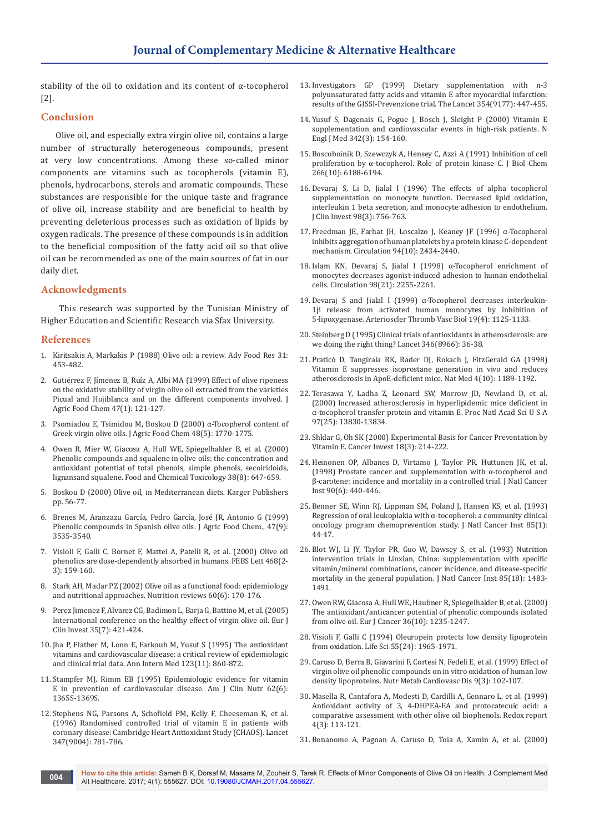stability of the oil to oxidation and its content of α-tocopherol [2].

## **Conclusion**

Olive oil, and especially extra virgin olive oil, contains a large number of structurally heterogeneous compounds, present at very low concentrations. Among these so-called minor components are vitamins such as tocopherols (vitamin E), phenols, hydrocarbons, sterols and aromatic compounds. These substances are responsible for the unique taste and fragrance of olive oil, increase stability and are beneficial to health by preventing deleterious processes such as oxidation of lipids by oxygen radicals. The presence of these compounds is in addition to the beneficial composition of the fatty acid oil so that olive oil can be recommended as one of the main sources of fat in our daily diet.

## **Acknowledgments**

 This research was supported by the Tunisian Ministry of Higher Education and Scientific Research via Sfax University.

## **References**

- 1. [Kiritsakis A, Markakis P \(1988\) Olive oil: a review. Adv Food Res 31:](https://www.ncbi.nlm.nih.gov/pubmed/3328485)  [453-482.](https://www.ncbi.nlm.nih.gov/pubmed/3328485)
- 2. [Gutiérrez F, Jímenez B, Ruíz A, Albi MA \(1999\) Effect of olive ripeness](https://www.ncbi.nlm.nih.gov/pubmed/10563859)  [on the oxidative stability of virgin olive oil extracted from the varieties](https://www.ncbi.nlm.nih.gov/pubmed/10563859)  [Picual and Hojiblanca and on the different components involved. J](https://www.ncbi.nlm.nih.gov/pubmed/10563859)  [Agric Food Chem 47\(1\): 121-127.](https://www.ncbi.nlm.nih.gov/pubmed/10563859)
- 3. [Psomiadou E, Tsimidou M, Boskou D \(2000\) α-Tocopherol content of](https://www.ncbi.nlm.nih.gov/pubmed/10820093)  [Greek virgin olive oils. J Agric Food Chem 48\(5\): 1770-1775.](https://www.ncbi.nlm.nih.gov/pubmed/10820093)
- 4. [Owen R, Mier W, Giacosa A, Hull WE, Spiegelhalder B, et al. \(2000\)](https://www.ncbi.nlm.nih.gov/pubmed/10908812)  [Phenolic compounds and squalene in olive oils: the concentration and](https://www.ncbi.nlm.nih.gov/pubmed/10908812)  [antioxidant potential of total phenols, simple phenols, secoiridoids,](https://www.ncbi.nlm.nih.gov/pubmed/10908812)  [lignansand squalene. Food and Chemical Toxicology 38\(8\): 647-659.](https://www.ncbi.nlm.nih.gov/pubmed/10908812)
- 5. Boskou D (2000) Olive oil, in Mediterranean diets. Karger Publishers pp. 56-77.
- 6. [Brenes M, Aranzazu García, Pedro García, José JR, Antonio G \(1999\)](http://pubs.acs.org/doi/abs/10.1021/jf990009o)  Phenolic compounds in Spanish olive oils. J Agric Food Chem., 47(9): [3535-3540.](http://pubs.acs.org/doi/abs/10.1021/jf990009o)
- 7. [Visioli F, Galli C, Bornet F, Mattei A, Patelli R, et al. \(2000\) Olive oil](https://www.ncbi.nlm.nih.gov/pubmed/10692578)  [phenolics are dose‐dependently absorbed in humans. FEBS Lett 468\(2-](https://www.ncbi.nlm.nih.gov/pubmed/10692578) [3\): 159-160.](https://www.ncbi.nlm.nih.gov/pubmed/10692578)
- 8. [Stark AH, Madar PZ \(2002\) Olive oil as a functional food: epidemiology](https://www.ncbi.nlm.nih.gov/pubmed/12078915)  [and nutritional approaches. Nutrition reviews 60\(6\): 170-176.](https://www.ncbi.nlm.nih.gov/pubmed/12078915)
- 9. [Perez Jimenez F, Alvarez CG, Badimon L, Barja G, Battino M, et al. \(2005\)](https://www.ncbi.nlm.nih.gov/pubmed/16008542)  [International conference on the healthy effect of virgin olive oil. Eur J](https://www.ncbi.nlm.nih.gov/pubmed/16008542)  [Clin Invest 35\(7\): 421-424.](https://www.ncbi.nlm.nih.gov/pubmed/16008542)
- 10. [Jha P, Flather M, Lonn E, Farkouh M, Yusuf S \(1995\) The antioxidant](https://www.ncbi.nlm.nih.gov/pubmed/7486470)  [vitamins and cardiovascular disease: a critical review of epidemiologic](https://www.ncbi.nlm.nih.gov/pubmed/7486470)  [and clinical trial data. Ann Intern Med 123\(11\): 860-872.](https://www.ncbi.nlm.nih.gov/pubmed/7486470)
- 11. [Stampfer MJ, Rimm EB \(1995\) Epidemiologic evidence for vitamin](https://www.ncbi.nlm.nih.gov/pubmed/7495232)  [E in prevention of cardiovascular disease. Am J Clin Nutr 62\(6\):](https://www.ncbi.nlm.nih.gov/pubmed/7495232)  [1365S-1369S.](https://www.ncbi.nlm.nih.gov/pubmed/7495232)
- 12. [Stephens NG, Parsons A, Schofield PM, Kelly F, Cheeseman K, et al.](https://www.ncbi.nlm.nih.gov/pubmed/8622332)  [\(1996\) Randomised controlled trial of vitamin E in patients with](https://www.ncbi.nlm.nih.gov/pubmed/8622332)  [coronary disease: Cambridge Heart Antioxidant Study \(CHAOS\). Lancet](https://www.ncbi.nlm.nih.gov/pubmed/8622332)  [347\(9004\): 781-786.](https://www.ncbi.nlm.nih.gov/pubmed/8622332)
- 13. [Investigators GP \(1999\) Dietary supplementation with n-3](https://www.ncbi.nlm.nih.gov/pubmed/10465168)  [polyunsaturated fatty acids and vitamin E after myocardial infarction:](https://www.ncbi.nlm.nih.gov/pubmed/10465168)  [results of the GISSI-Prevenzione trial. The Lancet 354\(9177\): 447-455.](https://www.ncbi.nlm.nih.gov/pubmed/10465168)
- 14. [Yusuf S, Dagenais G, Pogue J, Bosch J, Sleight P \(2000\) Vitamin E](https://www.ncbi.nlm.nih.gov/pubmed/10639540)  [supplementation and cardiovascular events in high-risk patients. N](https://www.ncbi.nlm.nih.gov/pubmed/10639540)  [Engl J Med 342\(3\): 154-160.](https://www.ncbi.nlm.nih.gov/pubmed/10639540)
- 15. [Boscoboinik D, Szewczyk A, Hensey C, Azzi A \(1991\) Inhibition of cell](https://www.ncbi.nlm.nih.gov/pubmed/2007576)  [proliferation by α-tocopherol. Role of protein kinase C. J Biol Chem](https://www.ncbi.nlm.nih.gov/pubmed/2007576)  [266\(10\): 6188-6194.](https://www.ncbi.nlm.nih.gov/pubmed/2007576)
- 16. [Devaraj S, Li D, Jialal I \(1996\) The effects of alpha tocopherol](https://www.ncbi.nlm.nih.gov/pubmed/8698868/)  [supplementation on monocyte function. Decreased lipid oxidation,](https://www.ncbi.nlm.nih.gov/pubmed/8698868/)  [interleukin 1 beta secretion, and monocyte adhesion to endothelium.](https://www.ncbi.nlm.nih.gov/pubmed/8698868/)  [J Clin Invest 98\(3\): 756-763.](https://www.ncbi.nlm.nih.gov/pubmed/8698868/)
- 17. [Freedman JE, Farhat JH, Loscalzo J, Keaney JF \(1996\) α-Tocopherol](https://www.ncbi.nlm.nih.gov/pubmed/8921785)  [inhibits aggregation of human platelets by a protein kinase C-dependent](https://www.ncbi.nlm.nih.gov/pubmed/8921785)  [mechanism. Circulation 94\(10\): 2434-2440.](https://www.ncbi.nlm.nih.gov/pubmed/8921785)
- 18. [Islam KN, Devaraj S, Jialal I \(1998\) α-Tocopherol enrichment of](https://www.ncbi.nlm.nih.gov/pubmed/9826311)  [monocytes decreases agonist-induced adhesion to human endothelial](https://www.ncbi.nlm.nih.gov/pubmed/9826311)  [cells. Circulation 98\(21\): 2255-2261.](https://www.ncbi.nlm.nih.gov/pubmed/9826311)
- 19. [Devaraj S and Jialal I \(1999\) α-Tocopherol decreases interleukin-](https://www.ncbi.nlm.nih.gov/pubmed/10195945)[1β release from activated human monocytes by inhibition of](https://www.ncbi.nlm.nih.gov/pubmed/10195945)  [5-lipoxygenase. Arterioscler Thromb Vasc Biol 19\(4\): 1125-1133.](https://www.ncbi.nlm.nih.gov/pubmed/10195945)
- 20. [Steinberg D \(1995\) Clinical trials of antioxidants in atherosclerosis: are](https://www.ncbi.nlm.nih.gov/pubmed/7603147)  [we doing the right thing? Lancet 346\(8966\): 36-38.](https://www.ncbi.nlm.nih.gov/pubmed/7603147)
- 21. [Praticò D, Tangirala RK, Rader DJ, Rokach J, FitzGerald GA \(1998\)](https://www.ncbi.nlm.nih.gov/pubmed/9771755)  [Vitamin E suppresses isoprostane generation in vivo and reduces](https://www.ncbi.nlm.nih.gov/pubmed/9771755)  [atherosclerosis in ApoE-deficient mice. Nat Med 4\(10\): 1189-1192.](https://www.ncbi.nlm.nih.gov/pubmed/9771755)
- 22. [Terasawa Y, Ladha Z, Leonard SW, Morrow JD, Newland D, et al.](https://www.ncbi.nlm.nih.gov/pubmed/11095717)  [\(2000\) Increased atherosclerosis in hyperlipidemic mice deficient in](https://www.ncbi.nlm.nih.gov/pubmed/11095717)  [α-tocopherol transfer protein and vitamin E. Proc Natl Acad Sci U S A](https://www.ncbi.nlm.nih.gov/pubmed/11095717)  [97\(25\): 13830-13834.](https://www.ncbi.nlm.nih.gov/pubmed/11095717)
- 23. [Shklar G, Oh SK \(2000\) Experimental Basis for Cancer Preventation by](https://www.ncbi.nlm.nih.gov/pubmed/10754990)  [Vitamin E. Cancer Invest 18\(3\): 214-222.](https://www.ncbi.nlm.nih.gov/pubmed/10754990)
- 24. [Heinonen OP, Albanes D, Virtamo J, Taylor PR, Huttunen JK, et al.](https://www.ncbi.nlm.nih.gov/pubmed/9521168)  [\(1998\) Prostate cancer and supplementation with α-tocopherol and](https://www.ncbi.nlm.nih.gov/pubmed/9521168)  [β-carotene: incidence and mortality in a controlled trial. J Natl Cancer](https://www.ncbi.nlm.nih.gov/pubmed/9521168)  [Inst 90\(6\): 440-446.](https://www.ncbi.nlm.nih.gov/pubmed/9521168)
- 25. [Benner SE, Winn RJ, Lippman SM, Poland J, Hansen KS, et al. \(1993\)](https://www.ncbi.nlm.nih.gov/pubmed/8416256)  [Regression of oral leukoplakia with α-tocopherol: a community clinical](https://www.ncbi.nlm.nih.gov/pubmed/8416256)  [oncology program chemoprevention study. J Natl Cancer Inst 85\(1\):](https://www.ncbi.nlm.nih.gov/pubmed/8416256)  [44-47.](https://www.ncbi.nlm.nih.gov/pubmed/8416256)
- 26. [Blot WJ, Li JY, Taylor PR, Guo W, Dawsey S, et al. \(1993\) Nutrition](https://www.ncbi.nlm.nih.gov/pubmed/8360931)  [intervention trials in Linxian, China: supplementation with specific](https://www.ncbi.nlm.nih.gov/pubmed/8360931)  [vitamin/mineral combinations, cancer incidence, and disease-specific](https://www.ncbi.nlm.nih.gov/pubmed/8360931)  [mortality in the general population. J Natl Cancer Inst 85\(18\): 1483-](https://www.ncbi.nlm.nih.gov/pubmed/8360931) [1491.](https://www.ncbi.nlm.nih.gov/pubmed/8360931)
- 27. [Owen RW, Giacosa A, Hull WE, Haubner R, Spiegelhalder B, et al. \(2000\)](https://www.ncbi.nlm.nih.gov/pubmed/10882862)  [The antioxidant/anticancer potential of phenolic compounds isolated](https://www.ncbi.nlm.nih.gov/pubmed/10882862)  [from olive oil. Eur J Cancer 36\(10\): 1235-1247.](https://www.ncbi.nlm.nih.gov/pubmed/10882862)
- 28. [Visioli F, Galli C \(1994\) Oleuropein protects low density lipoprotein](https://www.ncbi.nlm.nih.gov/pubmed/7990657)  [from oxidation. Life Sci 55\(24\): 1965-1971.](https://www.ncbi.nlm.nih.gov/pubmed/7990657)
- 29. [Caruso D, Berra B, Giavarini F, Cortesi N, Fedeli E, et al. \(1999\) Effect of](https://www.ncbi.nlm.nih.gov/pubmed/10464782)  [virgin olive oil phenolic compounds on in vitro oxidation of human low](https://www.ncbi.nlm.nih.gov/pubmed/10464782)  [density lipoproteins. Nutr Metab Cardiovasc Dis 9\(3\): 102-107.](https://www.ncbi.nlm.nih.gov/pubmed/10464782)
- 30. [Masella R, Cantafora A, Modesti D, Cardilli A, Gennaro L, et al. \(1999\)](https://www.ncbi.nlm.nih.gov/pubmed/10496414)  [Antioxidant activity of 3, 4-DHPEA-EA and protocatecuic acid: a](https://www.ncbi.nlm.nih.gov/pubmed/10496414)  [comparative assessment with other olive oil biophenols. Redox report](https://www.ncbi.nlm.nih.gov/pubmed/10496414)  [4\(3\): 113-121.](https://www.ncbi.nlm.nih.gov/pubmed/10496414)
- 31. [Bonanome A, Pagnan A, Caruso D, Toia A, Xamin A, et al. \(2000\)](https://www.ncbi.nlm.nih.gov/pubmed/11006919)